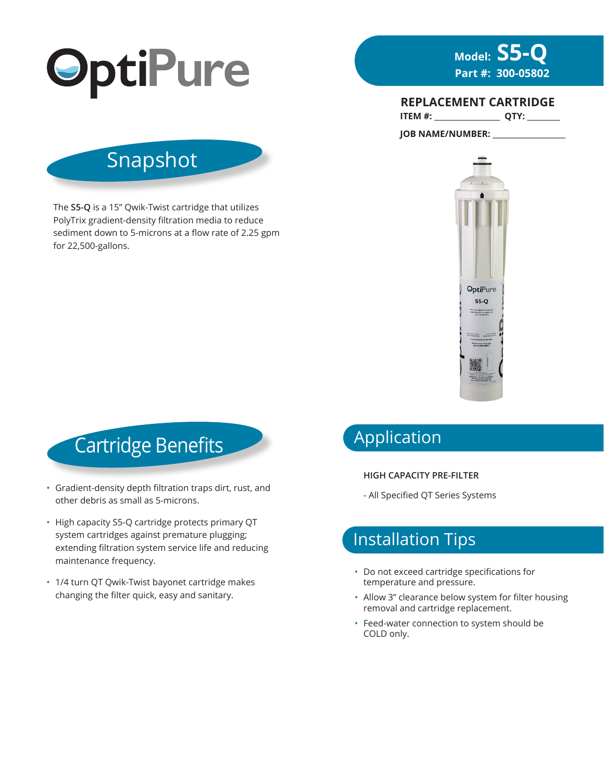



**ITEM #: \_\_\_\_\_\_\_\_\_\_\_\_\_\_\_\_\_\_ QTY: \_\_\_\_\_\_\_\_\_ REPLACEMENT CARTRIDGE**

Snapshot

The **S5-Q** is a 15" Qwik-Twist cartridge that utilizes PolyTrix gradient-density filtration media to reduce sediment down to 5-microns at a flow rate of 2.25 gpm for 22,500-gallons.



Cartridge Benefits

- Gradient-density depth filtration traps dirt, rust, and other debris as small as 5-microns.
- High capacity S5-Q cartridge protects primary QT system cartridges against premature plugging; extending filtration system service life and reducing maintenance frequency.
- 1/4 turn QT Qwik-Twist bayonet cartridge makes changing the filter quick, easy and sanitary.

# Application

#### **HIGH CAPACITY PRE-FILTER**

- All Specified QT Series Systems

## Installation Tips

- Do not exceed cartridge specifications for temperature and pressure.
- Allow 3" clearance below system for filter housing removal and cartridge replacement.
- Feed-water connection to system should be COLD only.